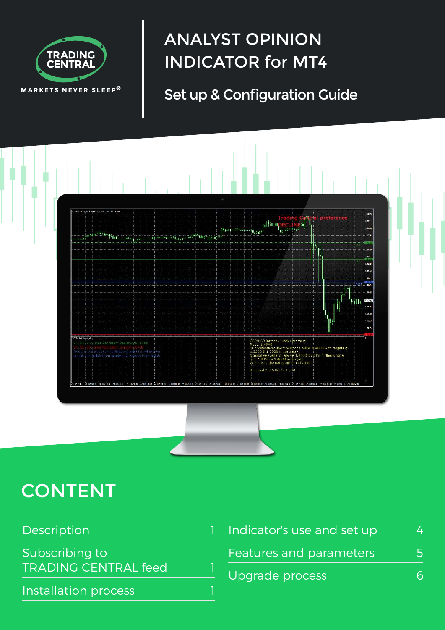

# ANALYST OPINION INDICATOR for MT4

## Set up & Configuration Guide



# **CONTENT**

| Description                 |  | Indicator's use and set up | $\Delta$ |
|-----------------------------|--|----------------------------|----------|
| Subscribing to              |  | Features and parameters    | 5        |
| <b>TRADING CENTRAL feed</b> |  | Upgrade process            | 6        |
| Installation process        |  |                            |          |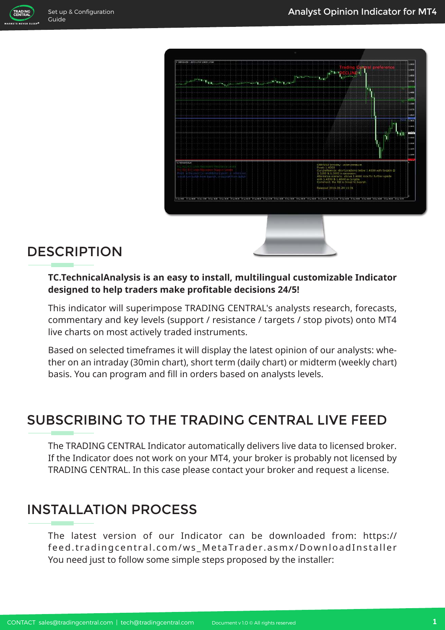



## **DESCRIPTION**

#### **TC.TechnicalAnalysis is an easy to install, multilingual customizable Indicator designed to help traders make profitable decisions 24/5!**

This indicator will superimpose TRADING CENTRAL's analysts research, forecasts, commentary and key levels (support / resistance / targets / stop pivots) onto MT4 live charts on most actively traded instruments.

Based on selected timeframes it will display the latest opinion of our analysts: whether on an intraday (30min chart), short term (daily chart) or midterm (weekly chart) basis. You can program and fill in orders based on analysts levels.

## SUBSCRIBING TO THE TRADING CENTRAL LIVE FEED

The TRADING CENTRAL Indicator automatically delivers live data to licensed broker. If the Indicator does not work on your MT4, your broker is probably not licensed by TRADING CENTRAL. In this case please contact your broker and request a license.

## INSTALLATION PROCESS

The latest version of our Indicator can be downloaded from: https:// feed.tradingcentral.com/ws\_MetaTrader.asmx/DownloadInstaller You need just to follow some simple steps proposed by the installer: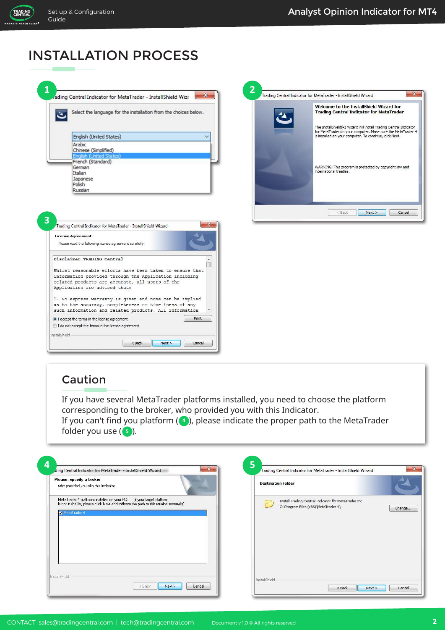TRADING<br>CENTRAL ARKETS NEVER SLEE

#### INSTALLATION PROCESS

| rading Central Indicator for MetaTrader - InstallShield Wiza | Select the language for the installation from the choices below.                                                 |
|--------------------------------------------------------------|------------------------------------------------------------------------------------------------------------------|
|                                                              |                                                                                                                  |
|                                                              | English (United States)                                                                                          |
|                                                              |                                                                                                                  |
|                                                              | Arabic<br>Chinese (Simplified)                                                                                   |
|                                                              | English (United States)                                                                                          |
|                                                              | French (Standard)                                                                                                |
|                                                              | German                                                                                                           |
|                                                              | Italian                                                                                                          |
|                                                              | Japanese<br>Polish                                                                                               |
|                                                              | Russian                                                                                                          |
|                                                              |                                                                                                                  |
|                                                              |                                                                                                                  |
|                                                              | $\boldsymbol{\mathsf{x}}$<br>Trading Central Indicator for MetaTrader - InstallShield Wizard                     |
|                                                              | <b>License Agreement</b><br>Please read the following license agreement carefully.                               |
|                                                              | Disclaimer TRADING Central                                                                                       |
|                                                              | Whilst reasonable efforts have been taken to ensure that                                                         |
|                                                              | information provided through the Application including                                                           |
|                                                              | related products are accurate, all users of the                                                                  |
|                                                              | Application are advised that:                                                                                    |
|                                                              |                                                                                                                  |
|                                                              | 1. No express warranty is given and none can be implied<br>as to the accuracy, completeness or timeliness of any |
|                                                              | such information and related products. All information                                                           |
|                                                              | Print<br>• I accept the terms in the license agreement                                                           |



#### Caution

InstallShield -

If you have several MetaTrader platforms installed, you need to choose the platform corresponding to the broker, who provided you with this Indicator.

If you can't find you platform (4), please indicate the proper path to the MetaTrader folder you use ( <mark>5</mark> ).

| Please, specify a broker<br>who provided you with this Indicator                                                                                                                 | <b>Destination Folder</b>                                                                    |        |
|----------------------------------------------------------------------------------------------------------------------------------------------------------------------------------|----------------------------------------------------------------------------------------------|--------|
| MetaTrader 4 platforms installed on your PC: [if your target platform]<br>is not in the list, please click Next and indicate the path to this terminal manually)<br>MetaTrader 4 | Install Trading Central Indicator for MetaTrader to:<br>C:\Program Files (x86)\MetaTrader 4\ | Change |
|                                                                                                                                                                                  |                                                                                              |        |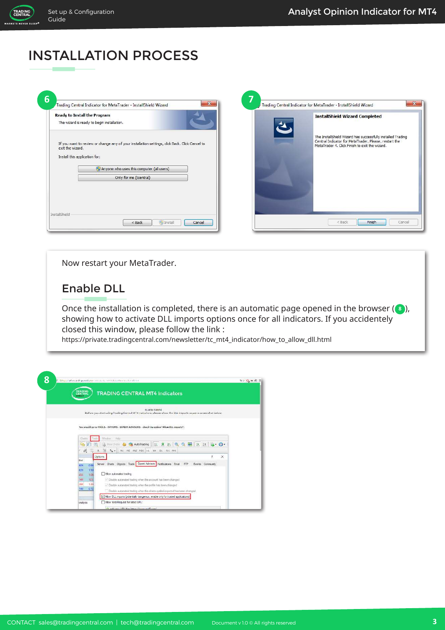TRADING<br>CENTRAL **ARKETS** 

## INSTALLATION PROCESS

|                                                   | <b>Ready to Install the Program</b><br>The wizard is ready to begin installation.             | <b>InstallShield Wizard Completed</b>                                                                                                                                  |
|---------------------------------------------------|-----------------------------------------------------------------------------------------------|------------------------------------------------------------------------------------------------------------------------------------------------------------------------|
| exit the wizard.<br>Install this application for: | If you want to review or change any of your installation settings, dick Back. Click Cancel to | The InstallShield Wizard has successfully installed Trading<br>Central Indicator for MetaTrader. Please, restart the<br>MetaTrader 4. Click Finish to exit the wizard. |
|                                                   | <sup>12</sup> Anyone who uses this computer (all users)                                       |                                                                                                                                                                        |
|                                                   | Only for me (tcentral)                                                                        |                                                                                                                                                                        |
|                                                   |                                                                                               |                                                                                                                                                                        |

Now restart your MetaTrader.

#### Enable DLL

Once the installation is completed, there is an automatic page opened in the browser (3), showing how to activate DLL imports options once for all indicators. If you accidentely closed this window, please follow the link :

https://private.tradingcentral.com/newsletter/tc\_mt4\_indicator/how\_to\_allow\_dll.html

| 8 |                                                                                                                                      |  |
|---|--------------------------------------------------------------------------------------------------------------------------------------|--|
|   | TRADING<br>CENTRAL<br><b>TRADING CENTRAL MT4 Indicators</b>                                                                          |  |
|   |                                                                                                                                      |  |
|   |                                                                                                                                      |  |
|   | <b>OUICK GUIDE</b><br>Before you start using Trading Central MT4 indicators, please allow the OLL imports as gen a screenshot below. |  |
|   |                                                                                                                                      |  |
|   |                                                                                                                                      |  |
|   | You should go to TOOLS - OPTIONS - EXPERT ADVISORS - check the option "Allow BLL importa":                                           |  |
|   |                                                                                                                                      |  |
|   | <b>Window</b><br>Heli<br>Toids<br>Charls                                                                                             |  |
|   | $\mathbb{C}$ $\cdot$ $\mathbb{O}$ $\cdot$                                                                                            |  |
|   | A T % . MI ME MIS MB0 HI H4 DL WI MH<br>$\mathbb{Z}$<br>爵                                                                            |  |
|   | Options<br>7<br>$\times$<br><b>Bid</b>                                                                                               |  |
|   | Server Charts Objects Trade Expert Advisors Notifications Email FTP Events Community<br>0.99<br>809                                  |  |
|   | 1.50<br>020                                                                                                                          |  |
|   | Allow automated trading<br>1.08<br>455                                                                                               |  |
|   | 723.<br>Citable automated trading when the account has been changed<br>149                                                           |  |
|   | 360<br>1.35<br>Cisable automated trading when the profile has been changed                                                           |  |
|   | 0.72<br>140<br>Disable automated trading when the charts symbol or period has been changed                                           |  |
|   |                                                                                                                                      |  |
|   | V Allow DLL imports (potentially dangerous, enable only for trusted applications)                                                    |  |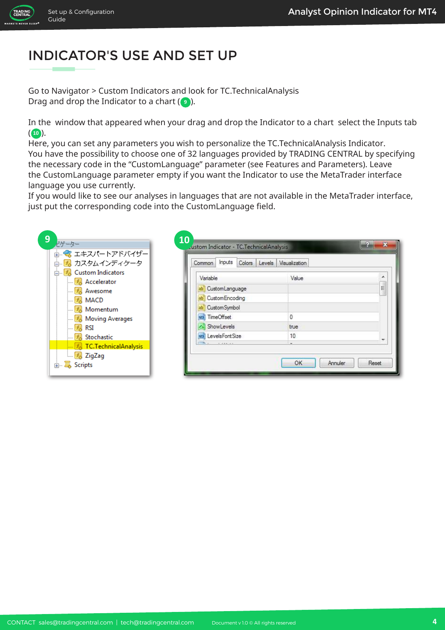

**IARKETS** 

# INDICATOR'S USE AND SET UP

Go to Navigator > Custom Indicators and look for TC.TechnicalAnalysis Drag and drop the Indicator to a chart  $(e)$ ).

In the window that appeared when your drag and drop the Indicator to a chart select the Inputs tab  $($ **10** $).$ 

Here, you can set any parameters you wish to personalize the TC.TechnicalAnalysis Indicator. You have the possibility to choose one of 32 languages provided by TRADING CENTRAL by specifying the necessary code in the "CustomLanguage" parameter (see Features and Parameters). Leave the CustomLanguage parameter empty if you want the Indicator to use the MetaTrader interface language you use currently.

If you would like to see our analyses in languages that are not available in the MetaTrader interface, just put the corresponding code into the CustomLanguage field.

| 歯…❤ エキスパートアドバイザー<br>直… <mark>■</mark> 。カスタムインディケータ                    | Inputs<br>Common   | Colors Levels Visualization |   |
|-----------------------------------------------------------------------|--------------------|-----------------------------|---|
| <b>E.</b> Custom Indicators<br>$\mathbb{F}_{\mathcal{O}}$ Accelerator | Variable           | Value                       | ۰ |
| $f_{\odot}$ Awesome                                                   | ab CustomLanguage  |                             | Ξ |
| $\mathbb{F}_{\alpha}$ MACD                                            | ab Custom Encoding |                             |   |
| $\mathbb{F}_{\alpha}$ Momentum                                        | ab Custom Symbol   |                             |   |
| $\mathbb{F}_6$ Moving Averages                                        | 123 TimeOffset     | 0                           |   |
| $-f_{\odot}$ RSI                                                      | - ShowLevels       | true                        |   |
| $f_{\odot}$ Stochastic                                                | 123 LevelsFontSize | 10                          |   |
| For TC.TechnicalAnalysis                                              | $\cdots$           |                             |   |
| $\mathbb{F}_{\mathcal{O}}$ ZigZag                                     |                    |                             |   |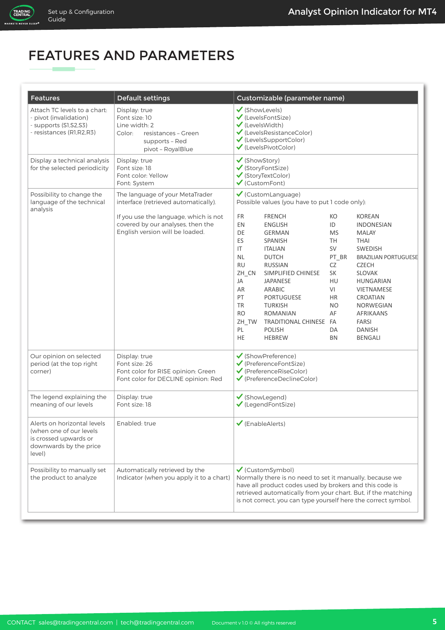## FEATURES AND PARAMETERS

| <b>Features</b>                                                                                                      | <b>Default settings</b>                                                                                                                                                                  | Customizable (parameter name)                                                                                                                                                                                                                                                                                                                                                                                                                                                                                                                                                                                                                                                                                                                                                                                                                                                                                               |
|----------------------------------------------------------------------------------------------------------------------|------------------------------------------------------------------------------------------------------------------------------------------------------------------------------------------|-----------------------------------------------------------------------------------------------------------------------------------------------------------------------------------------------------------------------------------------------------------------------------------------------------------------------------------------------------------------------------------------------------------------------------------------------------------------------------------------------------------------------------------------------------------------------------------------------------------------------------------------------------------------------------------------------------------------------------------------------------------------------------------------------------------------------------------------------------------------------------------------------------------------------------|
| Attach TC levels to a chart:<br>- pivot (invalidation)<br>- supports (S1,S2,S3)<br>- resistances (R1, R2, R3)        | Display: true<br>Font size: 10<br>Line width: 2<br>Color:<br>resistances - Green<br>supports - Red<br>pivot - RoyalBlue                                                                  | ✔ (ShowLevels)<br>✔ (LevelsFontSize)<br>$\checkmark$ (Levels Width)<br>✔ (LevelsResistanceColor)<br>✔ (LevelsSupportColor)<br>✔ (LevelsPivotColor)                                                                                                                                                                                                                                                                                                                                                                                                                                                                                                                                                                                                                                                                                                                                                                          |
| Display a technical analysis<br>for the selected periodicity                                                         | Display: true<br>Font size: 18<br>Font color: Yellow<br>Font: System                                                                                                                     | ✔ (ShowStory)<br>✔ (StoryFontSize)<br>✔ (StoryTextColor)<br>$\checkmark$ (CustomFont)                                                                                                                                                                                                                                                                                                                                                                                                                                                                                                                                                                                                                                                                                                                                                                                                                                       |
| Possibility to change the<br>language of the technical<br>analysis                                                   | The language of your MetaTrader<br>interface (retrieved automatically).<br>If you use the language, which is not<br>covered by our analyses, then the<br>English version will be loaded. | ✔ (CustomLanguage)<br>Possible values (you have to put 1 code only):<br><b>FR</b><br><b>FRENCH</b><br><b>KOREAN</b><br>KO<br>EN<br>ID<br><b>ENGLISH</b><br><b>INDONESIAN</b><br>DE<br><b>GERMAN</b><br><b>MS</b><br><b>MALAY</b><br>ES<br><b>SPANISH</b><br>TH<br><b>THAI</b><br>IT<br>SV<br><b>ITALIAN</b><br><b>SWEDISH</b><br><b>NL</b><br><b>DUTCH</b><br>PT_BR<br><b>BRAZILIAN PORTUGUESE</b><br><b>RU</b><br><b>CZECH</b><br><b>RUSSIAN</b><br>CZ<br><b>SLOVAK</b><br>ZH CN<br>SIMPLIFIED CHINESE<br>SK<br>HU<br>JA<br><b>JAPANESE</b><br>HUNGARIAN<br>VI<br>AR<br>ARABIC<br><b>VIETNAMESE</b><br>PT<br><b>PORTUGUESE</b><br>HR<br>CROATIAN<br><b>TR</b><br><b>TURKISH</b><br>NO<br>NORWEGIAN<br><b>RO</b><br><b>ROMANIAN</b><br>AF<br><b>AFRIKAANS</b><br>TRADITIONAL CHINESE FA<br><b>FARSI</b><br>ZH TW<br>PL<br><b>POLISH</b><br><b>DANISH</b><br>DA<br><b>HE</b><br><b>HEBREW</b><br><b>BN</b><br><b>BENGALI</b> |
| Our opinion on selected<br>period (at the top right<br>corner)                                                       | Display: true<br>Font size: 26<br>Font color for RISE opinion: Green<br>Font color for DECLINE opinion: Red                                                                              | ✔ (ShowPreference)<br>$\checkmark$ (PreferenceFontSize)<br>$\checkmark$ (PreferenceRiseColor)<br>✔ (PreferenceDeclineColor)                                                                                                                                                                                                                                                                                                                                                                                                                                                                                                                                                                                                                                                                                                                                                                                                 |
| The legend explaining the<br>meaning of our levels                                                                   | Display: true<br>Font size: 18                                                                                                                                                           | ✔ (ShowLegend)<br>✔ (LegendFontSize)                                                                                                                                                                                                                                                                                                                                                                                                                                                                                                                                                                                                                                                                                                                                                                                                                                                                                        |
| Alerts on horizontal levels<br>(when one of our levels)<br>is crossed upwards or<br>downwards by the price<br>level) | Enabled: true                                                                                                                                                                            | $\checkmark$ (EnableAlerts)                                                                                                                                                                                                                                                                                                                                                                                                                                                                                                                                                                                                                                                                                                                                                                                                                                                                                                 |
| Possibility to manually set<br>the product to analyze                                                                | Automatically retrieved by the<br>Indicator (when you apply it to a chart)                                                                                                               | $\checkmark$ (CustomSymbol)<br>Normally there is no need to set it manually, because we<br>have all product codes used by brokers and this code is<br>retrieved automatically from your chart. But, if the matching<br>is not correct, you can type yourself here the correct symbol.                                                                                                                                                                                                                                                                                                                                                                                                                                                                                                                                                                                                                                       |